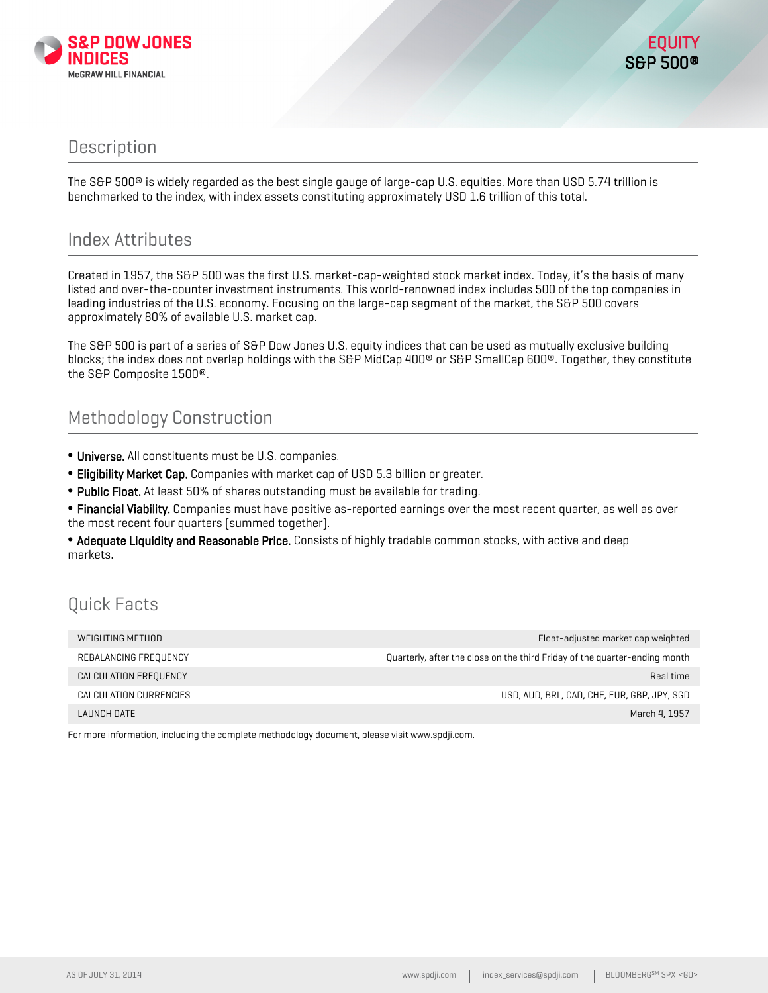

#### **Description**

The S&P 500® is widely regarded as the best single gauge of large-cap U.S. equities. More than USD 5.74 trillion is benchmarked to the index, with index assets constituting approximately USD 1.6 trillion of this total.

#### Index Attributes

Created in 1957, the S&P 500 was the first U.S. market-cap-weighted stock market index. Today, it's the basis of many listed and over-the-counter investment instruments. This world-renowned index includes 500 of the top companies in leading industries of the U.S. economy. Focusing on the large-cap segment of the market, the S&P 500 covers approximately 80% of available U.S. market cap.

The S&P 500 is part of a series of S&P Dow Jones U.S. equity indices that can be used as mutually exclusive building blocks; the index does not overlap holdings with the S&P MidCap 400<sup>®</sup> or S&P SmallCap 600<sup>®</sup>. Together, they constitute the S&P Composite 1500®.

### Methodology Construction

- Universe. All constituents must be U.S. companies.
- Eligibility Market Cap. Companies with market cap of USD 5.3 billion or greater.
- Public Float. At least 50% of shares outstanding must be available for trading.
- Financial Viability. Companies must have positive as-reported earnings over the most recent quarter, as well as over the most recent four quarters (summed together).

• Adequate Liquidity and Reasonable Price. Consists of highly tradable common stocks, with active and deep markets.

## Quick Facts

| WEIGHTING METHOD       | Float-adjusted market cap weighted                                         |
|------------------------|----------------------------------------------------------------------------|
| REBALANCING FREQUENCY  | Quarterly, after the close on the third Friday of the quarter-ending month |
| CALCULATION FREQUENCY  | Real time                                                                  |
| CALCULATION CURRENCIES | USD, AUD, BRL, CAD, CHF, EUR, GBP, JPY, SGD                                |
| LAUNCH DATE            | March 4, 1957                                                              |

For more information, including the complete methodology document, please visit www.spdji.com.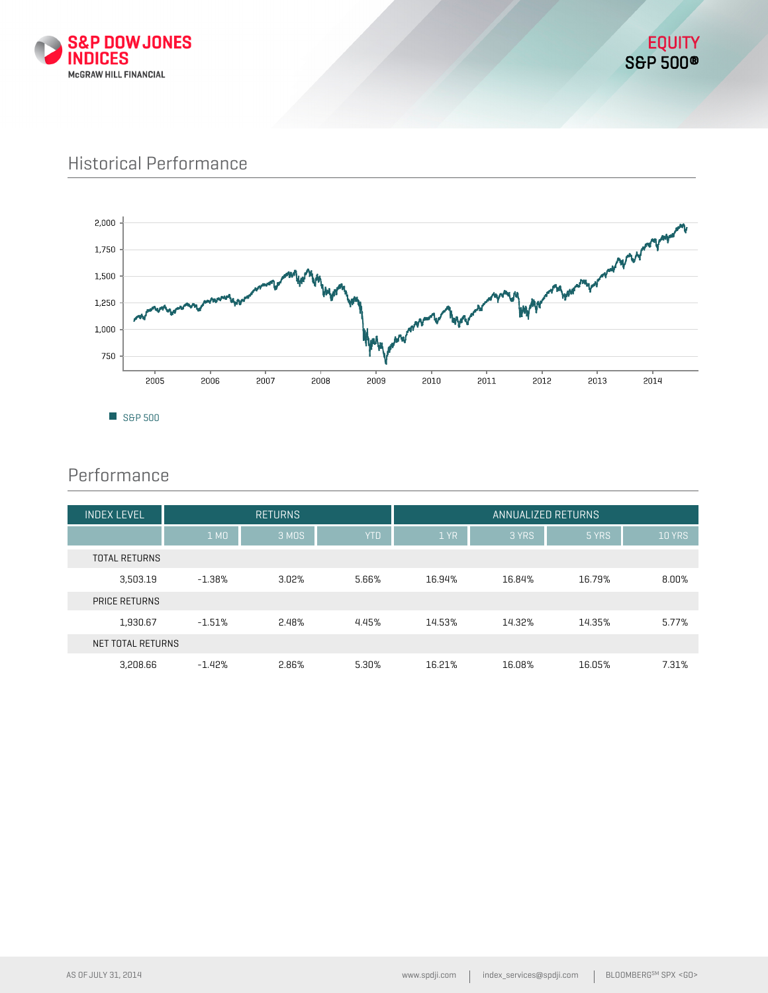

### Historical Performance



### Performance

| <b>INDEX LEVEL</b>   | <b>RETURNS</b> |       |            |        | ANNUALIZED RETURNS |        |               |
|----------------------|----------------|-------|------------|--------|--------------------|--------|---------------|
|                      | 1 MO           | 3 MDS | <b>YTD</b> | 1 YR   | 3 YRS              | 5 YRS  | <b>10 YRS</b> |
| <b>TOTAL RETURNS</b> |                |       |            |        |                    |        |               |
| 3,503.19             | $-1.38%$       | 3.02% | 5.66%      | 16.94% | 16.84%             | 16.79% | 8.00%         |
| <b>PRICE RETURNS</b> |                |       |            |        |                    |        |               |
| 1,930.67             | $-1.51%$       | 2.48% | 4.45%      | 14.53% | 14.32%             | 14.35% | 5.77%         |
| NET TOTAL RETURNS    |                |       |            |        |                    |        |               |
| 3,208.66             | $-1.42%$       | 2.86% | 5.30%      | 16.21% | 16.08%             | 16.05% | 7.31%         |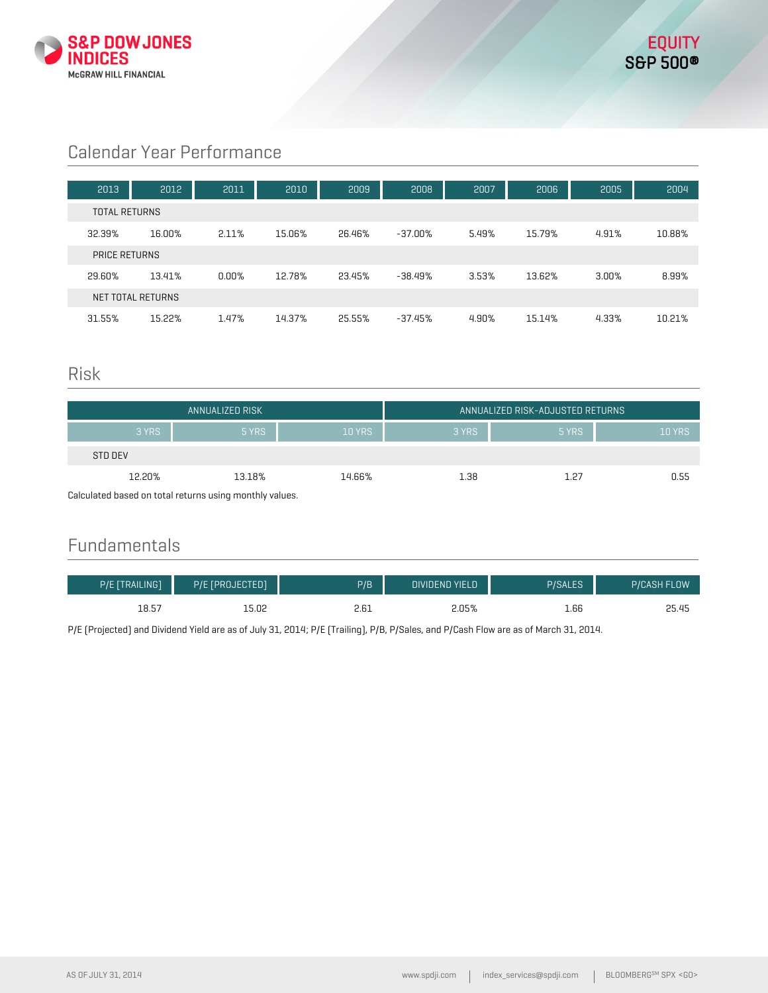

# Calendar Year Performance

| 2013                 | 2012              | 2011  | 2010   | 2009   | 2008      | 2007  | 2006   | 2005  | 2004   |
|----------------------|-------------------|-------|--------|--------|-----------|-------|--------|-------|--------|
| <b>TOTAL RETURNS</b> |                   |       |        |        |           |       |        |       |        |
| 32.39%               | 16.00%            | 2.11% | 15.06% | 26.46% | -37.00%   | 5.49% | 15.79% | 4.91% | 10.88% |
| PRICE RETURNS        |                   |       |        |        |           |       |        |       |        |
| 29.60%               | 13.41%            | 0.00% | 12.78% | 23.45% | $-38.49%$ | 3.53% | 13.62% | 3.00% | 8.99%  |
|                      | NET TOTAL RETURNS |       |        |        |           |       |        |       |        |
| 31.55%               | 15.22%            | 1.47% | 14.37% | 25.55% | $-37.45%$ | 4.90% | 15.14% | 4.33% | 10.21% |

#### Risk

| ANNUALIZED RISK                                         |        |               |       | I ANNUALIZED RISK-ADJUSTED RETURNS ' |               |
|---------------------------------------------------------|--------|---------------|-------|--------------------------------------|---------------|
| 3 YRS                                                   | 5 YRS  | <b>10 YRS</b> | 3 YRS | 5 YRS                                | <b>10 YRS</b> |
| STD DEV                                                 |        |               |       |                                      |               |
| 12.20%                                                  | 13.18% | 14.66%        | 1.38  | 1.27                                 | 0.55          |
| Calculated based on total returns using monthly values. |        |               |       |                                      |               |

Calculated based on total returns using monthly values.

### Fundamentals

| P/E [TRAILING] | P/E [PROJECTED] | P/B  | <b>DIVIDEND YIELD</b> | <b>P/SALES</b> | <b>P/CASH FLOW</b> |
|----------------|-----------------|------|-----------------------|----------------|--------------------|
| 18.57          | 15.02           | 2.61 | 2.05%                 | 1.66           | 25.45              |

P/E (Projected) and Dividend Yield are as of July 31, 2014; P/E (Trailing), P/B, P/Sales, and P/Cash Flow are as of March 31, 2014.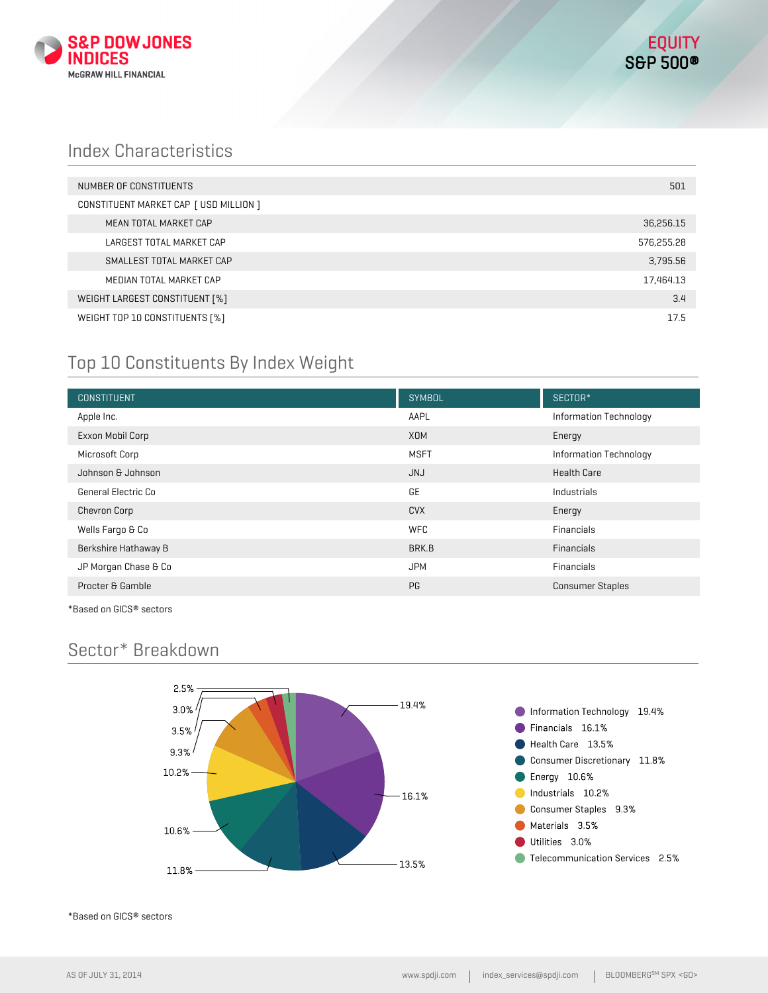

### Index Characteristics

| NUMBER OF CONSTITUENTS                 | 501        |
|----------------------------------------|------------|
| CONSTITUENT MARKET CAP [ USD MILLION ] |            |
| MEAN TOTAL MARKET CAP                  | 36,256.15  |
| LARGEST TOTAL MARKET CAP               | 576,255.28 |
| SMALLEST TOTAL MARKET CAP              | 3,795.56   |
| MEDIAN TOTAL MARKET CAP                | 17,464.13  |
| WEIGHT LARGEST CONSTITUENT [%]         | 3.4        |
| WEIGHT TOP 10 CONSTITUENTS [%]         | 17.5       |

### Top 10 Constituents By Index Weight

| <b>CONSTITUENT</b>   | <b>SYMBOL</b> | SECTOR*                 |
|----------------------|---------------|-------------------------|
| Apple Inc.           | AAPL          | Information Technology  |
| Exxon Mobil Corp     | <b>XOM</b>    | Energy                  |
| Microsoft Corp       | <b>MSFT</b>   | Information Technology  |
| Johnson & Johnson    | <b>JNJ</b>    | <b>Health Care</b>      |
| General Electric Co  | GE            | Industrials             |
| <b>Chevron Corp</b>  | <b>CVX</b>    | Energy                  |
| Wells Fargo & Co     | <b>WFC</b>    | Financials              |
| Berkshire Hathaway B | BRK.B         | <b>Financials</b>       |
| JP Morgan Chase & Co | <b>JPM</b>    | Financials              |
| Procter & Gamble     | PG            | <b>Consumer Staples</b> |

\*Based on GICS® sectors

## Sector\* Breakdown



\*Based on GICS® sectors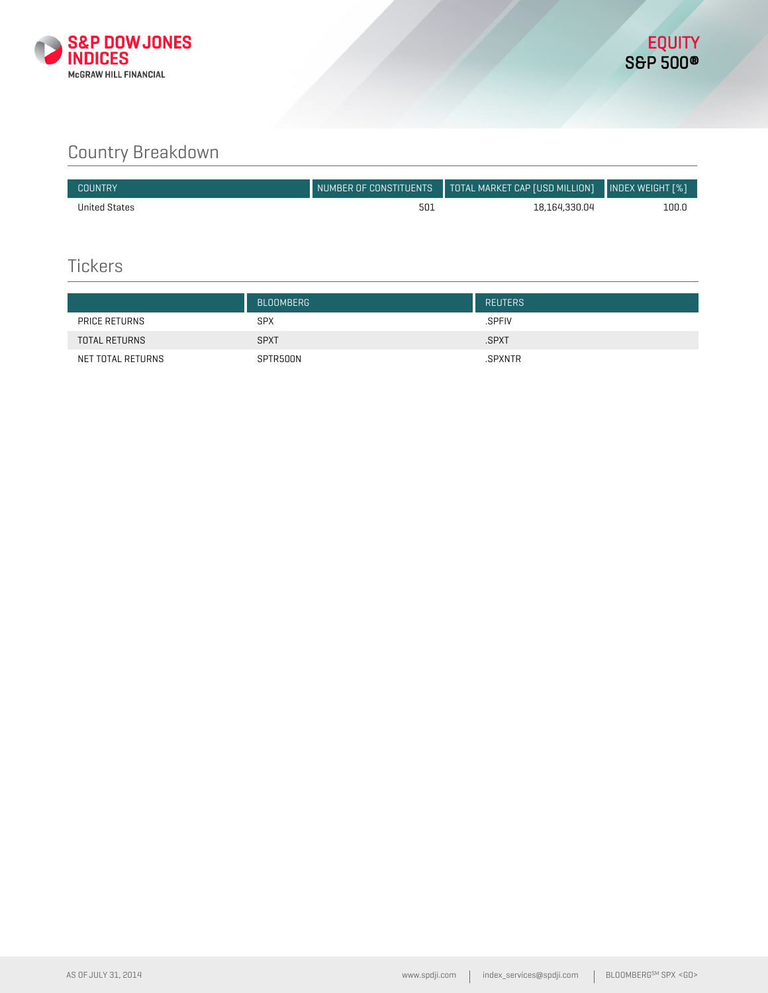

# Country Breakdown

| COUNTRY       | NUMBER OF CONSTITUENTS | $\blacksquare$ TOTAL MARKET CAP [USD MILLION] $\blacksquare$ INDEX WEIGHT [%] |       |
|---------------|------------------------|-------------------------------------------------------------------------------|-------|
| United States | 501                    | 18.164.330.04                                                                 | 100.0 |

### **Tickers**

|                      | <b>BLOOMBERG</b> | <b>REUTERS</b> |
|----------------------|------------------|----------------|
| PRICE RETURNS        | <b>SPX</b>       | .SPFIV         |
| <b>TOTAL RETURNS</b> | <b>SPXT</b>      | .SPXT          |
| NET TOTAL RETURNS    | SPTR500N         | .SPXNTR        |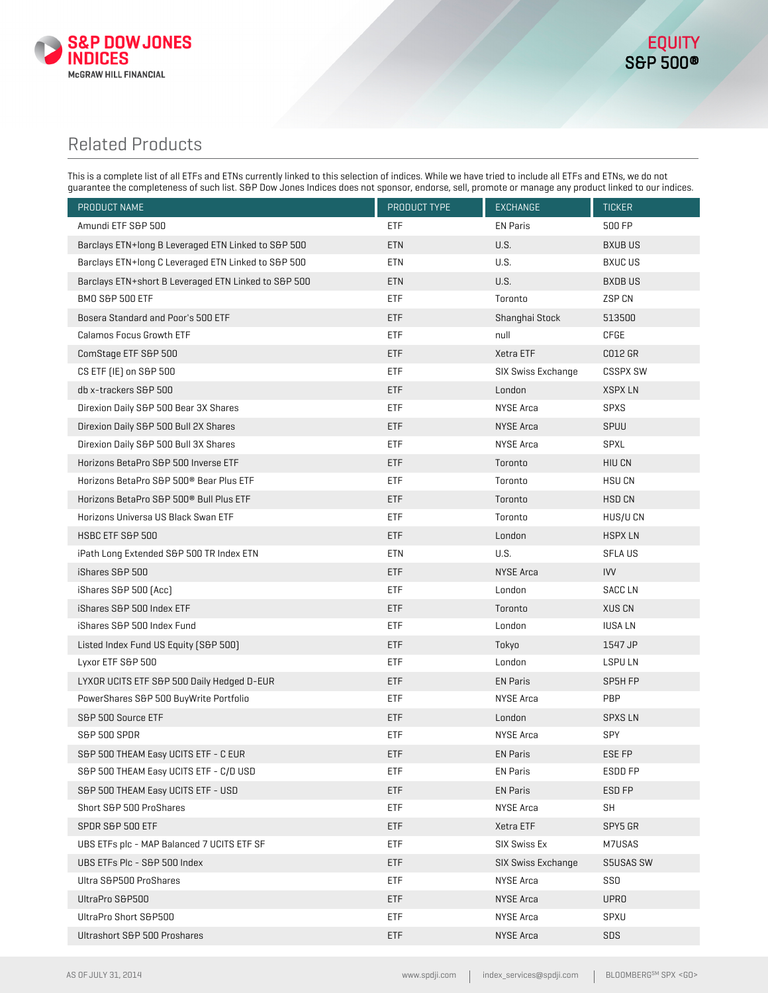

### Related Products

This is a complete list of all ETFs and ETNs currently linked to this selection of indices. While we have tried to include all ETFs and ETNs, we do not guarantee the completeness of such list. S&P Dow Jones Indices does not sponsor, endorse, sell, promote or manage any product linked to our indices.

| PRODUCT NAME                                         | PRODUCT TYPE | EXCHANGE           | <b>TICKER</b>   |
|------------------------------------------------------|--------------|--------------------|-----------------|
| Amundi ETF S&P 500                                   | ETF          | <b>EN Paris</b>    | 500 FP          |
| Barclays ETN+long B Leveraged ETN Linked to S&P 500  | ETN          | U.S.               | <b>BXUBUS</b>   |
| Barclays ETN+long C Leveraged ETN Linked to S&P 500  | ETN          | U.S.               | <b>BXUC US</b>  |
| Barclays ETN+short B Leveraged ETN Linked to S&P 500 | <b>ETN</b>   | U.S.               | <b>BXDBUS</b>   |
| <b>BMO S&amp;P 500 ETF</b>                           | ETF          | Toronto            | ZSP CN          |
| Bosera Standard and Poor's 500 ETF                   | ETF          | Shanghai Stock     | 513500          |
| Calamos Focus Growth ETF                             | ETF          | null               | CFGE            |
| ComStage ETF S&P 500                                 | <b>ETF</b>   | Xetra ETF          | C012 GR         |
| CS ETF [IE] on S&P 500                               | ETF          | SIX Swiss Exchange | <b>CSSPX SW</b> |
| db x-trackers S&P 500                                | ETF          | London             | <b>XSPXLN</b>   |
| Direxion Daily S&P 500 Bear 3X Shares                | ETF          | NYSE Arca          | <b>SPXS</b>     |
| Direxion Daily S&P 500 Bull 2X Shares                | ETF          | <b>NYSE Arca</b>   | SPUU            |
| Direxion Daily S&P 500 Bull 3X Shares                | <b>ETF</b>   | NYSE Arca          | SPXL            |
| Horizons BetaPro S&P 500 Inverse ETF                 | <b>ETF</b>   | Toronto            | HIU CN          |
| Horizons BetaPro S&P 500 <sup>®</sup> Bear Plus ETF  | ETF          | Toronto            | <b>HSUCN</b>    |
| Horizons BetaPro S&P 500 <sup>®</sup> Bull Plus ETF  | <b>ETF</b>   | Toronto            | HSD CN          |
| Horizons Universa US Black Swan ETF                  | ETF          | Toronto            | HUS/U CN        |
| HSBC ETF S&P 500                                     | ETF          | London             | <b>HSPXLN</b>   |
| iPath Long Extended S&P 500 TR Index ETN             | ETN          | U.S.               | <b>SFLAUS</b>   |
| iShares S&P 500                                      | <b>ETF</b>   | <b>NYSE Arca</b>   | <b>IVV</b>      |
| iShares S&P 500 (Acc)                                | <b>ETF</b>   | London             | <b>SACCLN</b>   |
| iShares S&P 500 Index ETF                            | <b>ETF</b>   | Toronto            | <b>XUS CN</b>   |
| iShares S&P 500 Index Fund                           | ETF          | London             | <b>IUSALN</b>   |
| Listed Index Fund US Equity (S&P 500)                | ETF          | Tokyo              | 1547 JP         |
| Lyxor ETF S&P 500                                    | ETF          | London             | <b>LSPULN</b>   |
| LYXOR UCITS ETF S&P 500 Daily Hedged D-EUR           | <b>ETF</b>   | <b>EN Paris</b>    | SP5H FP         |
| PowerShares S&P 500 BuyWrite Portfolio               | ETF          | NYSE Arca          | PBP             |
| S&P 500 Source ETF                                   | <b>ETF</b>   | London             | <b>SPXS LN</b>  |
| S&P 500 SPDR                                         | ETF          | NYSE Arca          | <b>SPY</b>      |
| S&P 500 THEAM Easy UCITS ETF - C EUR                 | ETF          | <b>EN Paris</b>    | ESE FP          |
| S&P 500 THEAM Easy UCITS ETF - C/D USD               | ETF          | EN Paris           | ESDD FP         |
| S&P 500 THEAM Easy UCITS ETF - USD                   | <b>ETF</b>   | <b>EN Paris</b>    | ESD FP          |
| Short S&P 500 ProShares                              | ETF          | NYSE Arca          | <b>SH</b>       |
| SPDR S&P 500 ETF                                     | <b>ETF</b>   | Xetra ETF          | SPY5 GR         |
| UBS ETFs plc - MAP Balanced 7 UCITS ETF SF           | <b>ETF</b>   | SIX Swiss Ex       | M7USAS          |
| UBS ETFs Plc - S&P 500 Index                         | <b>ETF</b>   | SIX Swiss Exchange | S5USAS SW       |
| Ultra S&P500 ProShares                               | <b>ETF</b>   | NYSE Arca          | <b>SSO</b>      |
| UltraPro S&P500                                      | ETF          | NYSE Arca          | <b>UPRO</b>     |
| UltraPro Short S&P500                                | <b>ETF</b>   | NYSE Arca          | SPXU            |
| Ultrashort S&P 500 Proshares                         | <b>ETF</b>   | NYSE Arca          | SDS             |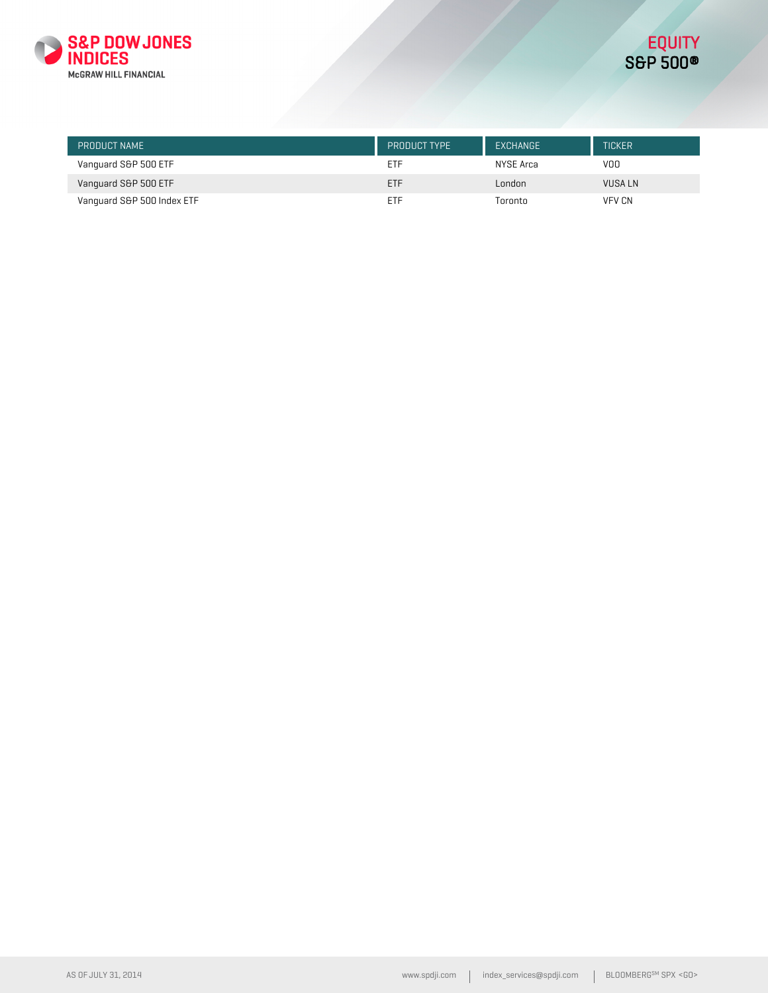

| PRODUCT NAME               | PRODUCT TYPE | EXCHANGE  | <b>TICKER</b> |
|----------------------------|--------------|-----------|---------------|
| Vanquard S&P 500 ETF       | ETF          | NYSE Arca | VOO           |
| Vanquard S&P 500 ETF       | <b>ETF</b>   | London    | VUSA LN       |
| Vanquard S&P 500 Index ETF | <b>ETF</b>   | Toronto   | <b>VFV CN</b> |